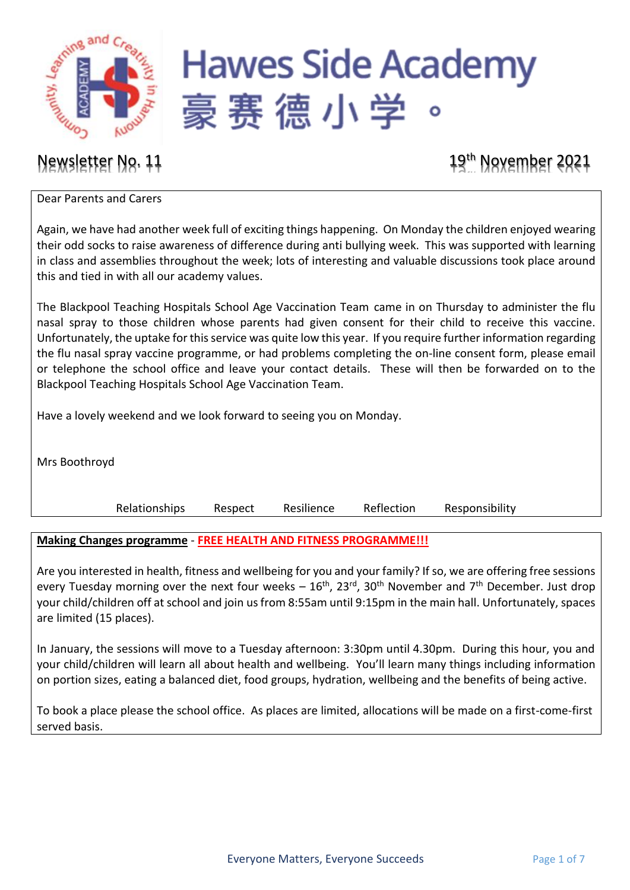

# **Hawes Side Academy** 豪赛德小学

Newsletter No. 11 19th November 2021

Dear Parents and Carers

Again, we have had another week full of exciting things happening. On Monday the children enjoyed wearing their odd socks to raise awareness of difference during anti bullying week. This was supported with learning in class and assemblies throughout the week; lots of interesting and valuable discussions took place around this and tied in with all our academy values.

The Blackpool Teaching Hospitals School Age Vaccination Team came in on Thursday to administer the flu nasal spray to those children whose parents had given consent for their child to receive this vaccine. Unfortunately, the uptake for this service was quite low this year. If you require further information regarding the flu nasal spray vaccine programme, or had problems completing the on-line consent form, please email or telephone the school office and leave your contact details. These will then be forwarded on to the Blackpool Teaching Hospitals School Age Vaccination Team.

Have a lovely weekend and we look forward to seeing you on Monday.

Mrs Boothroyd

Relationships Respect Resilience Reflection Responsibility

## **Making Changes programme** - **FREE HEALTH AND FITNESS PROGRAMME!!!**

Are you interested in health, fitness and wellbeing for you and your family? If so, we are offering free sessions every Tuesday morning over the next four weeks  $-16$ <sup>th</sup>, 23<sup>rd</sup>, 30<sup>th</sup> November and 7<sup>th</sup> December. Just drop your child/children off at school and join us from 8:55am until 9:15pm in the main hall. Unfortunately, spaces are limited (15 places).

In January, the sessions will move to a Tuesday afternoon: 3:30pm until 4.30pm. During this hour, you and your child/children will learn all about health and wellbeing. You'll learn many things including information on portion sizes, eating a balanced diet, food groups, hydration, wellbeing and the benefits of being active.

To book a place please the school office. As places are limited, allocations will be made on a first-come-first served basis.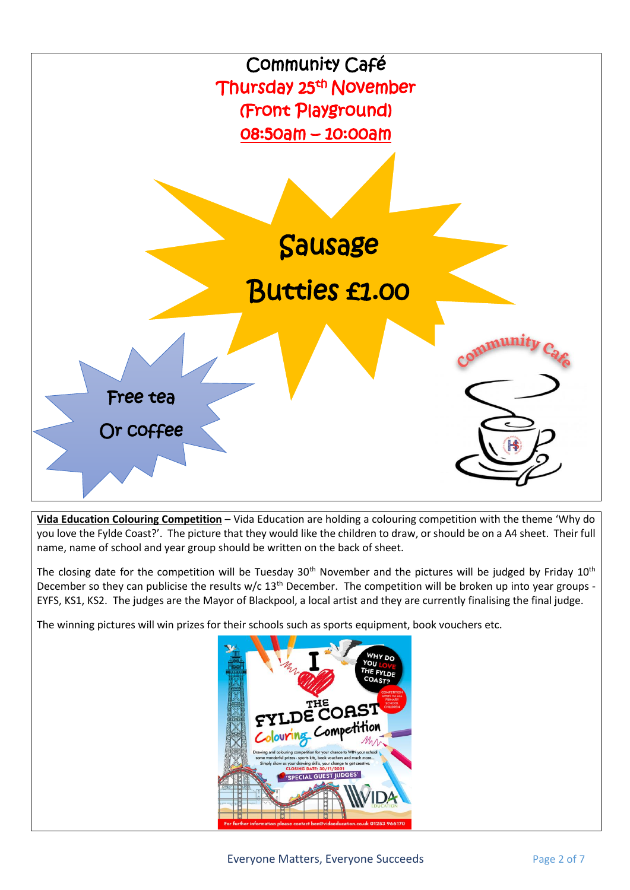

**Vida Education Colouring Competition** – Vida Education are holding a colouring competition with the theme 'Why do you love the Fylde Coast?'. The picture that they would like the children to draw, or should be on a A4 sheet. Their full name, name of school and year group should be written on the back of sheet.

The closing date for the competition will be Tuesday 30<sup>th</sup> November and the pictures will be judged by Friday 10<sup>th</sup> December so they can publicise the results w/c 13<sup>th</sup> December. The competition will be broken up into year groups -EYFS, KS1, KS2. The judges are the Mayor of Blackpool, a local artist and they are currently finalising the final judge.

The winning pictures will win prizes for their schools such as sports equipment, book vouchers etc.

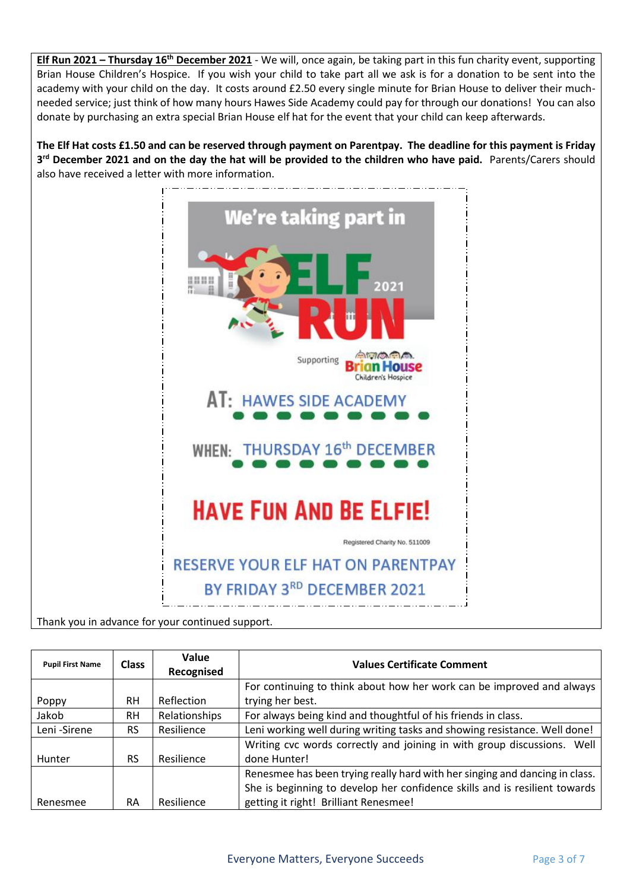**Elf Run 2021 – Thursday 16th December 2021** - We will, once again, be taking part in this fun charity event, supporting Brian House Children's Hospice. If you wish your child to take part all we ask is for a donation to be sent into the academy with your child on the day. It costs around £2.50 every single minute for Brian House to deliver their muchneeded service; just think of how many hours Hawes Side Academy could pay for through our donations! You can also donate by purchasing an extra special Brian House elf hat for the event that your child can keep afterwards.

**The Elf Hat costs £1.50 and can be reserved through payment on Parentpay. The deadline for this payment is Friday 3 rd December 2021 and on the day the hat will be provided to the children who have paid.** Parents/Carers should also have received a letter with more information.



Thank you in advance for your continued support.

| <b>Pupil First Name</b> | <b>Class</b> | Value<br>Recognised | <b>Values Certificate Comment</b>                                           |  |  |
|-------------------------|--------------|---------------------|-----------------------------------------------------------------------------|--|--|
|                         |              |                     | For continuing to think about how her work can be improved and always       |  |  |
| Poppy                   | <b>RH</b>    | Reflection          | trying her best.                                                            |  |  |
| Jakob                   | <b>RH</b>    | Relationships       | For always being kind and thoughtful of his friends in class.               |  |  |
| Leni-Sirene             | <b>RS</b>    | Resilience          | Leni working well during writing tasks and showing resistance. Well done!   |  |  |
|                         |              |                     | Writing cvc words correctly and joining in with group discussions. Well     |  |  |
| <b>Hunter</b>           | <b>RS</b>    | Resilience          | done Hunter!                                                                |  |  |
|                         |              |                     | Renesmee has been trying really hard with her singing and dancing in class. |  |  |
|                         |              |                     | She is beginning to develop her confidence skills and is resilient towards  |  |  |
| Renesmee                | RA           | Resilience          | getting it right! Brilliant Renesmee!                                       |  |  |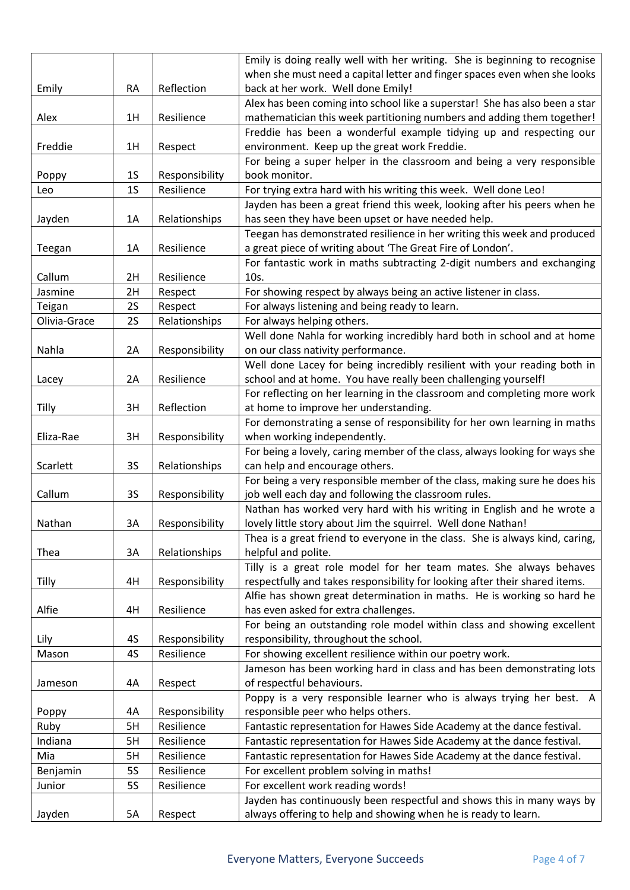|              |                                                    |                | Emily is doing really well with her writing. She is beginning to recognise                                                                 |  |  |  |
|--------------|----------------------------------------------------|----------------|--------------------------------------------------------------------------------------------------------------------------------------------|--|--|--|
|              |                                                    |                | when she must need a capital letter and finger spaces even when she looks                                                                  |  |  |  |
| Emily        | <b>RA</b>                                          | Reflection     | back at her work. Well done Emily!                                                                                                         |  |  |  |
|              |                                                    |                | Alex has been coming into school like a superstar! She has also been a star                                                                |  |  |  |
| Alex         | 1H                                                 | Resilience     | mathematician this week partitioning numbers and adding them together!                                                                     |  |  |  |
|              |                                                    |                | Freddie has been a wonderful example tidying up and respecting our                                                                         |  |  |  |
| Freddie      | 1H                                                 | Respect        | environment. Keep up the great work Freddie.                                                                                               |  |  |  |
|              |                                                    |                | For being a super helper in the classroom and being a very responsible                                                                     |  |  |  |
| Poppy        | <b>1S</b>                                          | Responsibility | book monitor.                                                                                                                              |  |  |  |
| Leo          | 1 <sub>S</sub>                                     | Resilience     | For trying extra hard with his writing this week. Well done Leo!                                                                           |  |  |  |
|              |                                                    |                | Jayden has been a great friend this week, looking after his peers when he                                                                  |  |  |  |
| Jayden       | 1A                                                 | Relationships  | has seen they have been upset or have needed help.                                                                                         |  |  |  |
|              |                                                    |                | Teegan has demonstrated resilience in her writing this week and produced                                                                   |  |  |  |
| Teegan       | 1A                                                 | Resilience     | a great piece of writing about 'The Great Fire of London'.                                                                                 |  |  |  |
|              |                                                    |                | For fantastic work in maths subtracting 2-digit numbers and exchanging                                                                     |  |  |  |
| Callum       | 2H                                                 | Resilience     | 10s.                                                                                                                                       |  |  |  |
| Jasmine      | 2H                                                 | Respect        | For showing respect by always being an active listener in class.                                                                           |  |  |  |
| Teigan       | 2S                                                 | Respect        | For always listening and being ready to learn.                                                                                             |  |  |  |
| Olivia-Grace | <b>2S</b>                                          | Relationships  | For always helping others.                                                                                                                 |  |  |  |
|              |                                                    |                | Well done Nahla for working incredibly hard both in school and at home                                                                     |  |  |  |
| Nahla        | 2A                                                 | Responsibility | on our class nativity performance.                                                                                                         |  |  |  |
|              |                                                    |                |                                                                                                                                            |  |  |  |
|              | 2A                                                 | Resilience     | Well done Lacey for being incredibly resilient with your reading both in<br>school and at home. You have really been challenging yourself! |  |  |  |
| Lacey        |                                                    |                | For reflecting on her learning in the classroom and completing more work                                                                   |  |  |  |
| Tilly        | 3H                                                 | Reflection     | at home to improve her understanding.                                                                                                      |  |  |  |
|              |                                                    |                |                                                                                                                                            |  |  |  |
| Eliza-Rae    | 3H                                                 |                | For demonstrating a sense of responsibility for her own learning in maths<br>when working independently.                                   |  |  |  |
|              |                                                    | Responsibility | For being a lovely, caring member of the class, always looking for ways she                                                                |  |  |  |
| Scarlett     | 3S                                                 | Relationships  | can help and encourage others.                                                                                                             |  |  |  |
|              |                                                    |                | For being a very responsible member of the class, making sure he does his                                                                  |  |  |  |
| Callum       | 3S                                                 |                | job well each day and following the classroom rules.                                                                                       |  |  |  |
|              |                                                    | Responsibility | Nathan has worked very hard with his writing in English and he wrote a                                                                     |  |  |  |
|              |                                                    | Responsibility | lovely little story about Jim the squirrel. Well done Nathan!                                                                              |  |  |  |
| Nathan       | 3A                                                 |                |                                                                                                                                            |  |  |  |
|              |                                                    |                | Thea is a great friend to everyone in the class. She is always kind, caring,                                                               |  |  |  |
|              | 3A<br>Relationships<br>helpful and polite.<br>Thea |                | Tilly is a great role model for her team mates. She always behaves                                                                         |  |  |  |
|              |                                                    |                |                                                                                                                                            |  |  |  |
| Tilly        | 4H                                                 | Responsibility | respectfully and takes responsibility for looking after their shared items.                                                                |  |  |  |
|              |                                                    |                | Alfie has shown great determination in maths. He is working so hard he                                                                     |  |  |  |
| Alfie        | 4H                                                 | Resilience     | has even asked for extra challenges.                                                                                                       |  |  |  |
|              |                                                    |                | For being an outstanding role model within class and showing excellent                                                                     |  |  |  |
| Lily         | 4S                                                 | Responsibility | responsibility, throughout the school.                                                                                                     |  |  |  |
| Mason        | 4S                                                 | Resilience     | For showing excellent resilience within our poetry work.                                                                                   |  |  |  |
|              |                                                    |                | Jameson has been working hard in class and has been demonstrating lots                                                                     |  |  |  |
| Jameson      | 4A                                                 | Respect        | of respectful behaviours.                                                                                                                  |  |  |  |
|              |                                                    |                | Poppy is a very responsible learner who is always trying her best. A                                                                       |  |  |  |
| Poppy        | 4A                                                 | Responsibility | responsible peer who helps others.                                                                                                         |  |  |  |
| Ruby         | 5H                                                 | Resilience     | Fantastic representation for Hawes Side Academy at the dance festival.                                                                     |  |  |  |
| Indiana      | 5H                                                 | Resilience     | Fantastic representation for Hawes Side Academy at the dance festival.                                                                     |  |  |  |
| Mia          | 5H                                                 | Resilience     | Fantastic representation for Hawes Side Academy at the dance festival.                                                                     |  |  |  |
| Benjamin     | <b>5S</b>                                          | Resilience     | For excellent problem solving in maths!                                                                                                    |  |  |  |
| Junior       | <b>5S</b>                                          | Resilience     | For excellent work reading words!                                                                                                          |  |  |  |
|              |                                                    |                | Jayden has continuously been respectful and shows this in many ways by                                                                     |  |  |  |
| Jayden       | 5A                                                 | Respect        | always offering to help and showing when he is ready to learn.                                                                             |  |  |  |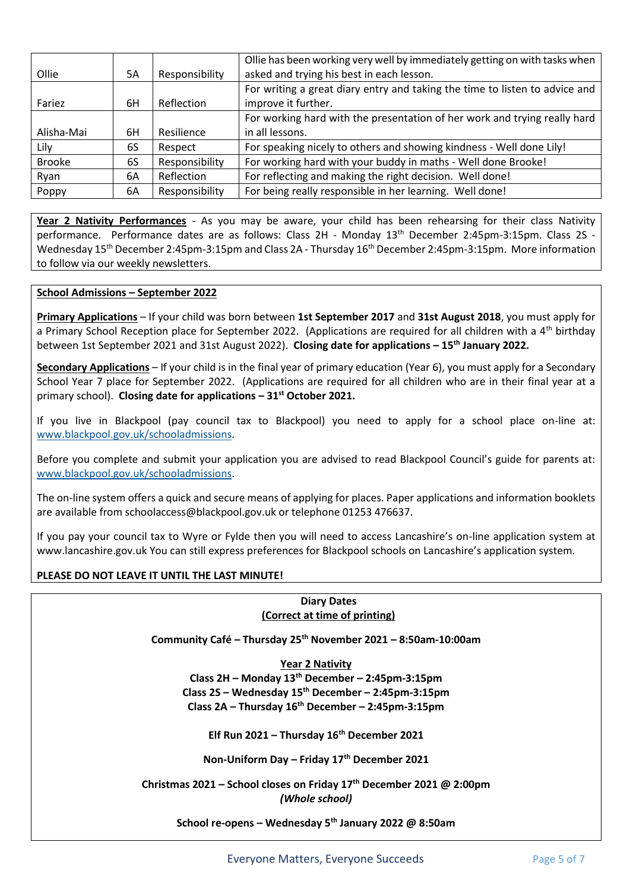|               |    |                | Ollie has been working very well by immediately getting on with tasks when  |  |  |  |
|---------------|----|----------------|-----------------------------------------------------------------------------|--|--|--|
| Ollie         | 5A | Responsibility | asked and trying his best in each lesson.                                   |  |  |  |
|               |    |                | For writing a great diary entry and taking the time to listen to advice and |  |  |  |
| Fariez        | 6H | Reflection     | improve it further.                                                         |  |  |  |
|               |    |                | For working hard with the presentation of her work and trying really hard   |  |  |  |
| Alisha-Mai    | 6H | Resilience     | in all lessons.                                                             |  |  |  |
| Lily          | 6S | Respect        | For speaking nicely to others and showing kindness - Well done Lily!        |  |  |  |
| <b>Brooke</b> | 6S | Responsibility | For working hard with your buddy in maths - Well done Brooke!               |  |  |  |
| Ryan          | 6A | Reflection     | For reflecting and making the right decision. Well done!                    |  |  |  |
| Poppy         | 6A | Responsibility | For being really responsible in her learning. Well done!                    |  |  |  |

**Year 2 Nativity Performances** - As you may be aware, your child has been rehearsing for their class Nativity performance. Performance dates are as follows: Class 2H - Monday 13<sup>th</sup> December 2:45pm-3:15pm. Class 2S Wednesday 15th December 2:45pm-3:15pm and Class 2A - Thursday 16th December 2:45pm-3:15pm. More information to follow via our weekly newsletters.

### **School Admissions – September 2022**

**Primary Applications** – If your child was born between **1st September 2017** and **31st August 2018**, you must apply for a Primary School Reception place for September 2022. (Applications are required for all children with a  $4<sup>th</sup>$  birthday between 1st September 2021 and 31st August 2022). **Closing date for applications – 15th January 2022.**

**Secondary Applications** – If your child is in the final year of primary education (Year 6), you must apply for a Secondary School Year 7 place for September 2022. (Applications are required for all children who are in their final year at a primary school). **Closing date for applications – 31st October 2021.**

If you live in Blackpool (pay council tax to Blackpool) you need to apply for a school place on-line at: [www.blackpool.gov.uk/schooladmissions.](http://www.blackpool.gov.uk/schooladmissions)

Before you complete and submit your application you are advised to read Blackpool Council's guide for parents at: [www.blackpool.gov.uk/schooladmissions.](http://www.blackpool.gov.uk/schooladmissions)

The on-line system offers a quick and secure means of applying for places. Paper applications and information booklets are available from schoolaccess@blackpool.gov.uk or telephone 01253 476637.

If you pay your council tax to Wyre or Fylde then you will need to access Lancashire's on-line application system at www.lancashire.gov.uk You can still express preferences for Blackpool schools on Lancashire's application system.

#### **PLEASE DO NOT LEAVE IT UNTIL THE LAST MINUTE!**

#### **Diary Dates (Correct at time of printing)**

**Community Café – Thursday 25th November 2021 – 8:50am-10:00am**

**Year 2 Nativity Class 2H – Monday 13th December – 2:45pm-3:15pm Class 2S – Wednesday 15th December – 2:45pm-3:15pm Class 2A – Thursday 16th December – 2:45pm-3:15pm**

**Elf Run 2021 – Thursday 16th December 2021**

**Non-Uniform Day – Friday 17th December 2021**

**Christmas 2021 – School closes on Friday 17th December 2021 @ 2:00pm** *(Whole school)*

**School re-opens – Wednesday 5th January 2022 @ 8:50am**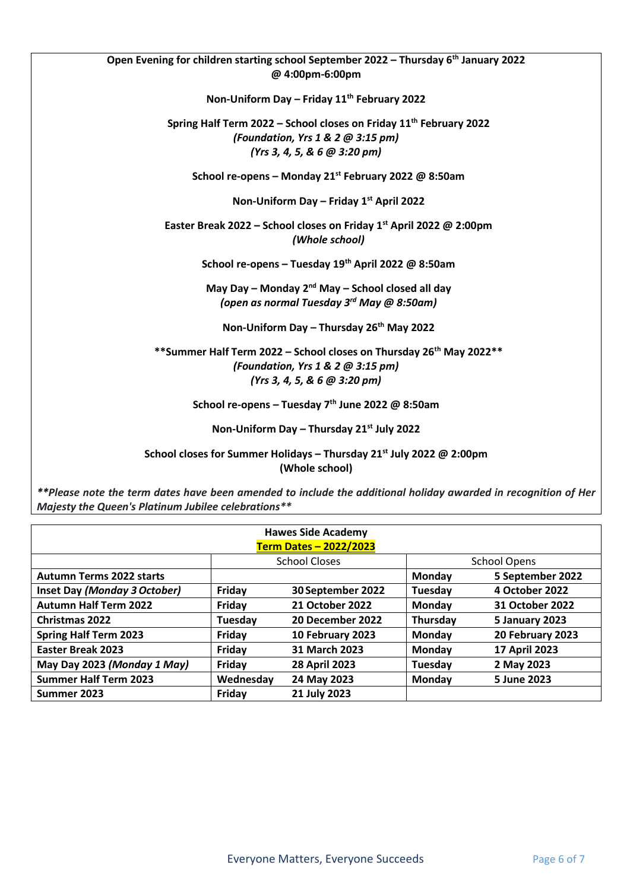| Open Evening for children starting school September 2022 - Thursday 6 <sup>th</sup> January 2022 |
|--------------------------------------------------------------------------------------------------|
| @ 4:00pm-6:00pm                                                                                  |
|                                                                                                  |
| Non-Uniform Day - Friday 11 <sup>th</sup> February 2022                                          |
| Spring Half Term 2022 - School closes on Friday 11 <sup>th</sup> February 2022                   |
| (Foundation, Yrs 1 & 2 @ 3:15 pm)                                                                |
| (Yrs 3, 4, 5, & 6 @ 3:20 pm)                                                                     |
| School re-opens - Monday 21 <sup>st</sup> February 2022 @ 8:50am                                 |
| Non-Uniform Day – Friday $1^{st}$ April 2022                                                     |
| Easter Break 2022 – School closes on Friday 1 <sup>st</sup> April 2022 @ 2:00pm                  |
| (Whole school)                                                                                   |
| School re-opens - Tuesday 19th April 2022 @ 8:50am                                               |
| May Day – Monday $2^{nd}$ May – School closed all day                                            |
| (open as normal Tuesday 3 <sup>rd</sup> May @ 8:50am)                                            |
| Non-Uniform Day - Thursday 26 <sup>th</sup> May 2022                                             |
| ** Summer Half Term 2022 - School closes on Thursday 26 <sup>th</sup> May 2022**                 |
| (Foundation, Yrs 1 & 2 @ 3:15 pm)                                                                |
| (Yrs 3, 4, 5, & 6 $@$ 3:20 pm)                                                                   |
| School re-opens - Tuesday 7 <sup>th</sup> June 2022 @ 8:50am                                     |
| Non-Uniform Day - Thursday 21st July 2022                                                        |
| School closes for Summer Holidays - Thursday 21 <sup>st</sup> July 2022 @ 2:00pm                 |
| (Whole school)                                                                                   |

*\*\*Please note the term dates have been amended to include the additional holiday awarded in recognition of Her Majesty the Queen's Platinum Jubilee celebrations\*\**

| <b>Hawes Side Academy</b><br>Term Dates - 2022/2023 |           |                        |                     |                  |  |  |  |  |  |
|-----------------------------------------------------|-----------|------------------------|---------------------|------------------|--|--|--|--|--|
|                                                     |           | School Closes          | <b>School Opens</b> |                  |  |  |  |  |  |
| <b>Autumn Terms 2022 starts</b>                     |           |                        | Monday              | 5 September 2022 |  |  |  |  |  |
| Inset Day (Monday 3 October)                        | Friday    | 30 September 2022      | Tuesday             | 4 October 2022   |  |  |  |  |  |
| <b>Autumn Half Term 2022</b>                        | Friday    | <b>21 October 2022</b> | Monday              | 31 October 2022  |  |  |  |  |  |
| <b>Christmas 2022</b>                               | Tuesday   | 20 December 2022       | Thursday            | 5 January 2023   |  |  |  |  |  |
| <b>Spring Half Term 2023</b>                        | Friday    | 10 February 2023       | Monday              | 20 February 2023 |  |  |  |  |  |
| <b>Easter Break 2023</b>                            | Friday    | 31 March 2023          | Monday              | 17 April 2023    |  |  |  |  |  |
| May Day 2023 (Monday 1 May)                         | Friday    | <b>28 April 2023</b>   | Tuesday             | 2 May 2023       |  |  |  |  |  |
| <b>Summer Half Term 2023</b>                        | Wednesday | 24 May 2023            | Monday              | 5 June 2023      |  |  |  |  |  |
| Summer 2023                                         | Friday    | 21 July 2023           |                     |                  |  |  |  |  |  |